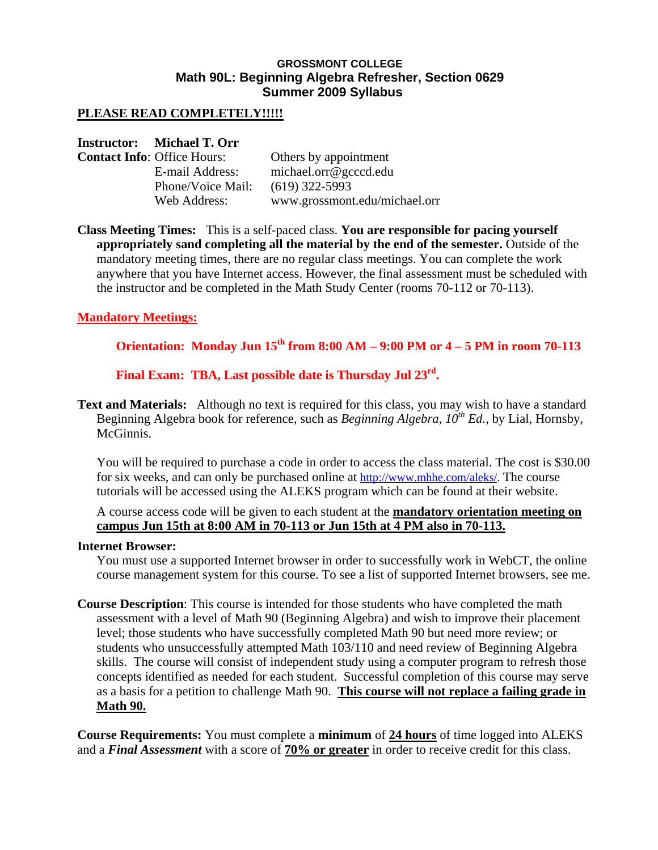## **GROSSMONT COLLEGE Math 90L: Beginning Algebra Refresher, Section 0629 Summer 2009 Syllabus**

## **PLEASE READ COMPLETELY!!!!!**

### **Instructor: Michael T. Orr**

| <b>Contact Info: Office Hours:</b> | Others by appointment         |
|------------------------------------|-------------------------------|
| E-mail Address:                    | michael.org@gcccd.edu         |
| Phone/Voice Mail:                  | $(619)$ 322-5993              |
| Web Address:                       | www.grossmont.edu/michael.orr |

**Class Meeting Times:** This is a self-paced class. **You are responsible for pacing yourself appropriately sand completing all the material by the end of the semester.** Outside of the mandatory meeting times, there are no regular class meetings. You can complete the work anywhere that you have Internet access. However, the final assessment must be scheduled with the instructor and be completed in the Math Study Center (rooms 70-112 or 70-113).

## **Mandatory Meetings:**

# **Orientation: Monday Jun 15th from 8:00 AM – 9:00 PM or 4 – 5 PM in room 70-113**

**Final Exam: TBA, Last possible date is Thursday Jul 23rd.** 

**Text and Materials:** Although no text is required for this class, you may wish to have a standard Beginning Algebra book for reference, such as *Beginning Algebra, 10th Ed.*, by Lial, Hornsby, McGinnis.

You will be required to purchase a code in order to access the class material. The cost is \$30.00 for six weeks, and can only be purchased online at http://www.mhhe.com/aleks/. The course tutorials will be accessed using the ALEKS program which can be found at their website.

A course access code will be given to each student at the **mandatory orientation meeting on campus Jun 15th at 8:00 AM in 70-113 or Jun 15th at 4 PM also in 70-113.**

#### **Internet Browser:**

You must use a supported Internet browser in order to successfully work in WebCT, the online course management system for this course. To see a list of supported Internet browsers, see me.

**Course Description**: This course is intended for those students who have completed the math assessment with a level of Math 90 (Beginning Algebra) and wish to improve their placement level; those students who have successfully completed Math 90 but need more review; or students who unsuccessfully attempted Math 103/110 and need review of Beginning Algebra skills. The course will consist of independent study using a computer program to refresh those concepts identified as needed for each student. Successful completion of this course may serve as a basis for a petition to challenge Math 90. **This course will not replace a failing grade in Math 90.** 

**Course Requirements:** You must complete a **minimum** of **24 hours** of time logged into ALEKS and a *Final Assessment* with a score of **70% or greater** in order to receive credit for this class.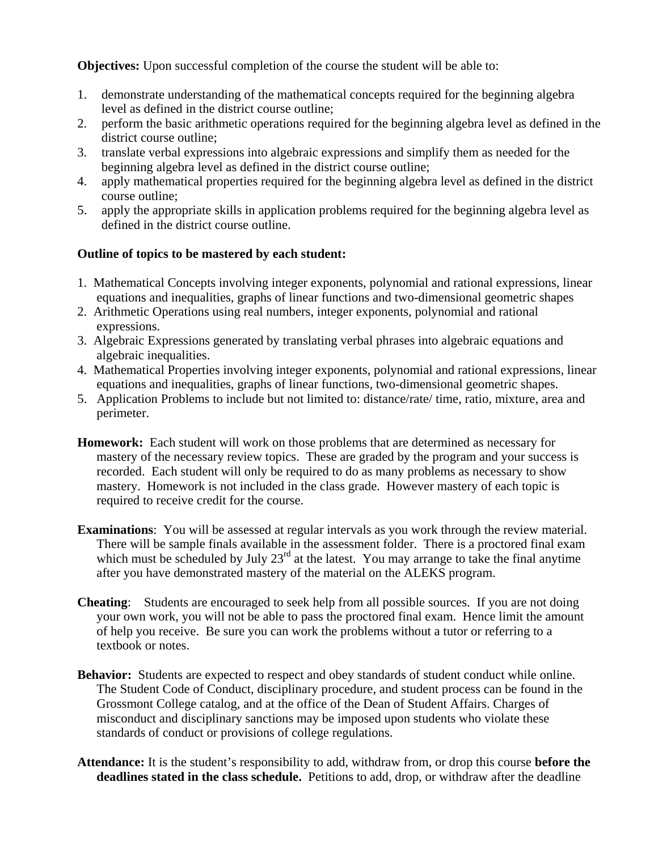**Objectives:** Upon successful completion of the course the student will be able to:

- 1. demonstrate understanding of the mathematical concepts required for the beginning algebra level as defined in the district course outline;
- 2. perform the basic arithmetic operations required for the beginning algebra level as defined in the district course outline;
- 3. translate verbal expressions into algebraic expressions and simplify them as needed for the beginning algebra level as defined in the district course outline;
- 4. apply mathematical properties required for the beginning algebra level as defined in the district course outline;
- 5. apply the appropriate skills in application problems required for the beginning algebra level as defined in the district course outline.

## **Outline of topics to be mastered by each student:**

- 1. Mathematical Concepts involving integer exponents, polynomial and rational expressions, linear equations and inequalities, graphs of linear functions and two-dimensional geometric shapes
- 2. Arithmetic Operations using real numbers, integer exponents, polynomial and rational expressions.
- 3. Algebraic Expressions generated by translating verbal phrases into algebraic equations and algebraic inequalities.
- 4. Mathematical Properties involving integer exponents, polynomial and rational expressions, linear equations and inequalities, graphs of linear functions, two-dimensional geometric shapes.
- 5. Application Problems to include but not limited to: distance/rate/ time, ratio, mixture, area and perimeter.
- **Homework:** Each student will work on those problems that are determined as necessary for mastery of the necessary review topics. These are graded by the program and your success is recorded. Each student will only be required to do as many problems as necessary to show mastery. Homework is not included in the class grade. However mastery of each topic is required to receive credit for the course.
- **Examinations**: You will be assessed at regular intervals as you work through the review material. There will be sample finals available in the assessment folder. There is a proctored final exam which must be scheduled by July  $23<sup>rd</sup>$  at the latest. You may arrange to take the final anytime after you have demonstrated mastery of the material on the ALEKS program.
- **Cheating**: Students are encouraged to seek help from all possible sources. If you are not doing your own work, you will not be able to pass the proctored final exam. Hence limit the amount of help you receive. Be sure you can work the problems without a tutor or referring to a textbook or notes.
- **Behavior:** Students are expected to respect and obey standards of student conduct while online. The Student Code of Conduct, disciplinary procedure, and student process can be found in the Grossmont College catalog, and at the office of the Dean of Student Affairs. Charges of misconduct and disciplinary sanctions may be imposed upon students who violate these standards of conduct or provisions of college regulations.
- **Attendance:** It is the student's responsibility to add, withdraw from, or drop this course **before the deadlines stated in the class schedule.** Petitions to add, drop, or withdraw after the deadline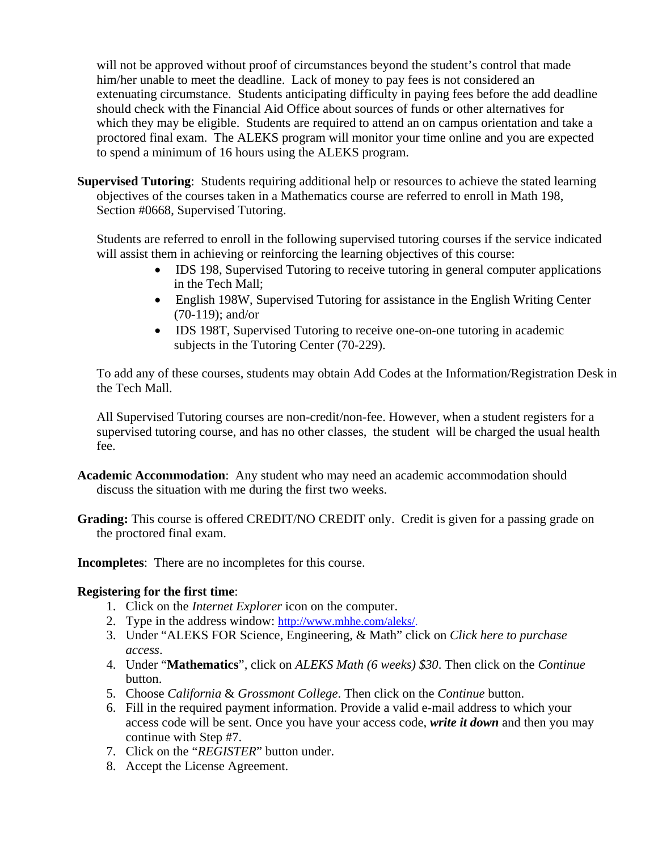will not be approved without proof of circumstances beyond the student's control that made him/her unable to meet the deadline. Lack of money to pay fees is not considered an extenuating circumstance. Students anticipating difficulty in paying fees before the add deadline should check with the Financial Aid Office about sources of funds or other alternatives for which they may be eligible. Students are required to attend an on campus orientation and take a proctored final exam. The ALEKS program will monitor your time online and you are expected to spend a minimum of 16 hours using the ALEKS program.

**Supervised Tutoring**: Students requiring additional help or resources to achieve the stated learning objectives of the courses taken in a Mathematics course are referred to enroll in Math 198, Section #0668, Supervised Tutoring.

Students are referred to enroll in the following supervised tutoring courses if the service indicated will assist them in achieving or reinforcing the learning objectives of this course:

- IDS 198, Supervised Tutoring to receive tutoring in general computer applications in the Tech Mall;
- English 198W, Supervised Tutoring for assistance in the English Writing Center (70-119); and/or
- IDS 198T, Supervised Tutoring to receive one-on-one tutoring in academic subjects in the Tutoring Center (70-229).

To add any of these courses, students may obtain Add Codes at the Information/Registration Desk in the Tech Mall.

All Supervised Tutoring courses are non-credit/non-fee. However, when a student registers for a supervised tutoring course, and has no other classes, the student will be charged the usual health fee.

- **Academic Accommodation**: Any student who may need an academic accommodation should discuss the situation with me during the first two weeks.
- Grading: This course is offered CREDIT/NO CREDIT only. Credit is given for a passing grade on the proctored final exam.

**Incompletes**: There are no incompletes for this course.

## **Registering for the first time**:

- 1. Click on the *Internet Explorer* icon on the computer.
- 2. Type in the address window: http://www.mhhe.com/aleks/.
- 3. Under "ALEKS FOR Science, Engineering, & Math" click on *Click here to purchase access*.
- 4. Under "**Mathematics**", click on *ALEKS Math (6 weeks) \$30*. Then click on the *Continue* button.
- 5. Choose *California* & *Grossmont College*. Then click on the *Continue* button.
- 6. Fill in the required payment information. Provide a valid e-mail address to which your access code will be sent. Once you have your access code, *write it down* and then you may continue with Step #7.
- 7. Click on the "*REGISTER*" button under.
- 8. Accept the License Agreement.